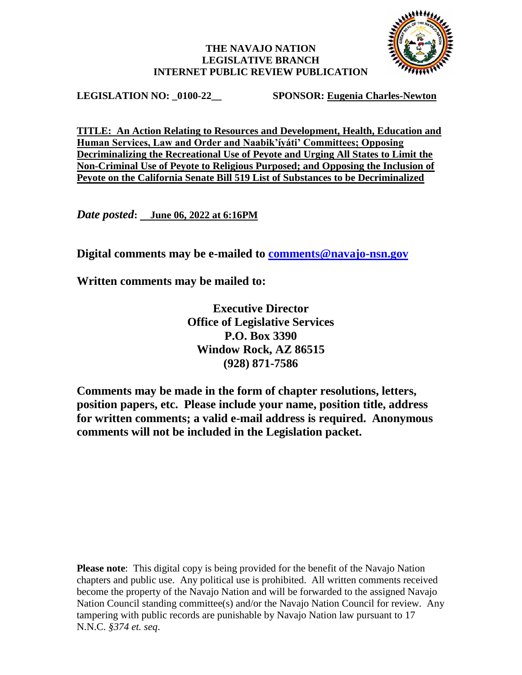## **THE NAVAJO NATION LEGISLATIVE BRANCH INTERNET PUBLIC REVIEW PUBLICATION**



**LEGISLATION NO: \_0100-22\_\_ SPONSOR: Eugenia Charles-Newton**

**TITLE: An Action Relating to Resources and Development, Health, Education and Human Services, Law and Order and Naabik'íyáti' Committees; Opposing Decriminalizing the Recreational Use of Peyote and Urging All States to Limit the Non-Criminal Use of Peyote to Religious Purposed; and Opposing the Inclusion of Peyote on the California Senate Bill 519 List of Substances to be Decriminalized**

*Date posted***: June 06, 2022 at 6:16PM**

**Digital comments may be e-mailed to [comments@navajo-nsn.gov](mailto:comments@navajo-nsn.gov?subject=0100-22)**

**Written comments may be mailed to:**

**Executive Director Office of Legislative Services P.O. Box 3390 Window Rock, AZ 86515 (928) 871-7586**

**Comments may be made in the form of chapter resolutions, letters, position papers, etc. Please include your name, position title, address for written comments; a valid e-mail address is required. Anonymous comments will not be included in the Legislation packet.**

**Please note**: This digital copy is being provided for the benefit of the Navajo Nation chapters and public use. Any political use is prohibited. All written comments received become the property of the Navajo Nation and will be forwarded to the assigned Navajo Nation Council standing committee(s) and/or the Navajo Nation Council for review. Any tampering with public records are punishable by Navajo Nation law pursuant to 17 N.N.C. *§374 et. seq*.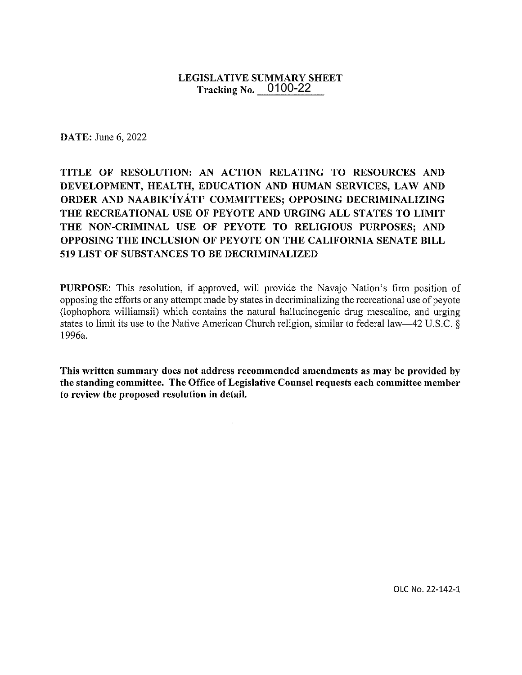## **LEGISLATIVE SUMMARY SHEET** Tracking No.  $0100-22$

**DATE:** June 6, 2022

## TITLE OF RESOLUTION: AN ACTION RELATING TO RESOURCES AND DEVELOPMENT, HEALTH, EDUCATION AND HUMAN SERVICES, LAW AND ORDER AND NAABIK'IYATI' COMMITTEES; OPPOSING DECRIMINALIZING THE RECREATIONAL USE OF PEYOTE AND URGING ALL STATES TO LIMIT THE NON-CRIMINAL USE OF PEYOTE TO RELIGIOUS PURPOSES: AND OPPOSING THE INCLUSION OF PEYOTE ON THE CALIFORNIA SENATE BILL 519 LIST OF SUBSTANCES TO BE DECRIMINALIZED

PURPOSE: This resolution, if approved, will provide the Navajo Nation's firm position of opposing the efforts or any attempt made by states in decriminalizing the recreational use of peyote (lophophora williamsii) which contains the natural hallucinogenic drug mescaline, and urging states to limit its use to the Native American Church religion, similar to federal law—42 U.S.C. § 1996a.

This written summary does not address recommended amendments as may be provided by the standing committee. The Office of Legislative Counsel requests each committee member to review the proposed resolution in detail.

 $\mathcal{L}$ 

OLC No. 22-142-1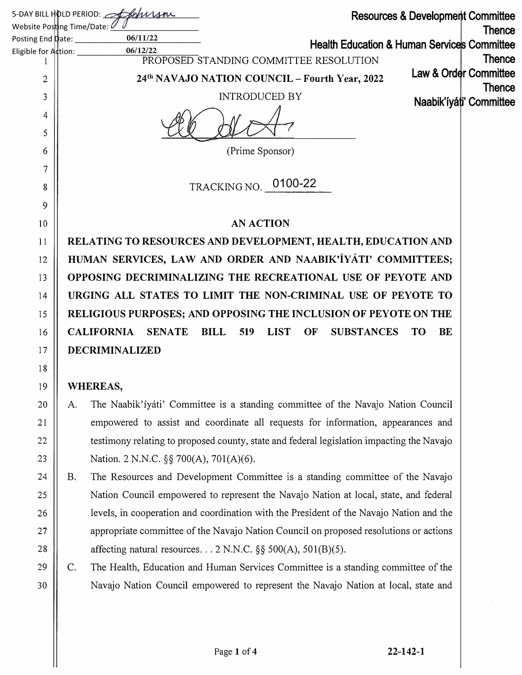|                                                     |           | 5-DAY BILL HOLD PERIOD: Stockwan<br><b>Resources &amp; Development Committee</b>                                                   |               |
|-----------------------------------------------------|-----------|------------------------------------------------------------------------------------------------------------------------------------|---------------|
| Website Posting Time/Date: 0                        |           |                                                                                                                                    | <b>Thence</b> |
| Posting End Date:                                   |           | 06/11/22<br><b>Health Education &amp; Human Services Committee</b>                                                                 |               |
| Eligible for $\mathsf{A}\xspace^{\mathsf{t}}$ tion: |           | 06/12/22<br>PROPOSED STANDING COMMITTEE RESOLUTION                                                                                 | <b>Thence</b> |
| 2                                                   |           | Law & Order Committee<br>24th NAVAJO NATION COUNCIL - Fourth Year, 2022                                                            |               |
| 3                                                   |           | <b>INTRODUCED BY</b><br>Naabik'íyáti' Committee                                                                                    | <b>Thence</b> |
| 4                                                   |           |                                                                                                                                    |               |
| 5                                                   |           |                                                                                                                                    |               |
| 6                                                   |           | (Prime Sponsor)                                                                                                                    |               |
| 7                                                   |           |                                                                                                                                    |               |
| 8                                                   |           | TRACKING NO. 0100-22                                                                                                               |               |
| 9                                                   |           |                                                                                                                                    |               |
| 10                                                  |           | <b>AN ACTION</b>                                                                                                                   |               |
| 11                                                  |           | RELATING TO RESOURCES AND DEVELOPMENT, HEALTH, EDUCATION AND                                                                       |               |
| 12                                                  |           | HUMAN SERVICES, LAW AND ORDER AND NAABIK'IYATI' COMMITTEES;                                                                        |               |
| 13                                                  |           | OPPOSING DECRIMINALIZING THE RECREATIONAL USE OF PEYOTE AND                                                                        |               |
| 14                                                  |           | URGING ALL STATES TO LIMIT THE NON-CRIMINAL USE OF PEYOTE TO                                                                       |               |
| 15                                                  |           | RELIGIOUS PURPOSES; AND OPPOSING THE INCLUSION OF PEYOTE ON THE                                                                    |               |
| 16                                                  |           | <b>CALIFORNIA</b><br><b>SENATE</b><br><b>BILL</b><br><b>LIST</b><br><b>SUBSTANCES</b><br>519<br>OF<br><b>BE</b><br>TO <sub>1</sub> |               |
| 17                                                  |           | DECRIMINALIZED                                                                                                                     |               |
| 18                                                  |           |                                                                                                                                    |               |
| 19                                                  |           | WHEREAS,                                                                                                                           |               |
| 20                                                  | A.        | The Naabik'iyáti' Committee is a standing committee of the Navajo Nation Council                                                   |               |
| 21                                                  |           | empowered to assist and coordinate all requests for information, appearances and                                                   |               |
| 22                                                  |           | testimony relating to proposed county, state and federal legislation impacting the Navajo                                          |               |
| 23                                                  |           | Nation. 2 N.N.C. §§ 700(A), 701(A)(6).                                                                                             |               |
| 24                                                  | <b>B.</b> | The Resources and Development Committee is a standing committee of the Navajo                                                      |               |
| 25                                                  |           | Nation Council empowered to represent the Navajo Nation at local, state, and federal                                               |               |
| 26                                                  |           | levels, in cooperation and coordination with the President of the Navajo Nation and the                                            |               |
| 27                                                  |           | appropriate committee of the Navajo Nation Council on proposed resolutions or actions                                              |               |
| $28\,$                                              |           | affecting natural resources $2$ N.N.C. §§ 500(A), 501(B)(5).                                                                       |               |
| 29                                                  | C.        | The Health, Education and Human Services Committee is a standing committee of the                                                  |               |
| 30                                                  |           | Navajo Nation Council empowered to represent the Navajo Nation at local, state and                                                 |               |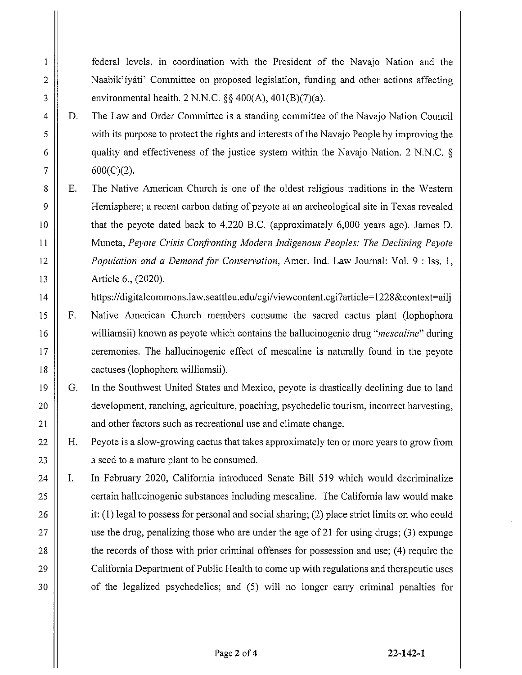federal levels, in coordination with the President of the Navajo Nation and the Naabik'iyáti' Committee on proposed legislation, funding and other actions affecting environmental health. 2 N.N.C.  $\S$  400(A), 401(B)(7)(a).

The Law and Order Committee is a standing committee of the Navajo Nation Council D. with its purpose to protect the rights and interests of the Navajo People by improving the quality and effectiveness of the justice system within the Navajo Nation. 2 N.N.C. §  $600(C)(2)$ .

 $\mathbf{1}$ 

 $\overline{c}$ 

3

4

5

6

 $\overline{7}$ 

8

9

10

 $11$ 

 $12$ 

13

 $14$ 

15

 $16$ 

17

18

19

20

 $21$ 

22

23

24

25

26

27

28

29

30

 $E_{\cdot}$ The Native American Church is one of the oldest religious traditions in the Western Hemisphere; a recent carbon dating of peyote at an archeological site in Texas revealed that the peyote dated back to 4,220 B.C. (approximately 6,000 years ago). James D. Muneta, Peyote Crisis Confronting Modern Indigenous Peoples: The Declining Peyote Population and a Demand for Conservation, Amer. Ind. Law Journal: Vol. 9 : Iss. 1, Article 6., (2020).

https://digitalcommons.law.seattleu.edu/cgi/viewcontent.cgi?article=1228&context=aili

- F. Native American Church members consume the sacred cactus plant (lophophora williamsii) known as peyote which contains the hallucinogenic drug "mescaline" during ceremonies. The hallucinogenic effect of mescaline is naturally found in the peyote cactuses (lophophora williamsii).
- G. In the Southwest United States and Mexico, peyote is drastically declining due to land development, ranching, agriculture, poaching, psychedelic tourism, incorrect harvesting, and other factors such as recreational use and climate change.
- H. Peyote is a slow-growing cactus that takes approximately ten or more years to grow from a seed to a mature plant to be consumed.

I. In February 2020, California introduced Senate Bill 519 which would decriminalize certain hallucinogenic substances including mescaline. The California law would make it:  $(1)$  legal to possess for personal and social sharing;  $(2)$  place strict limits on who could use the drug, penalizing those who are under the age of 21 for using drugs; (3) expunge the records of those with prior criminal offenses for possession and use; (4) require the California Department of Public Health to come up with regulations and therapeutic uses of the legalized psychodelics; and (5) will no longer carry criminal penalties for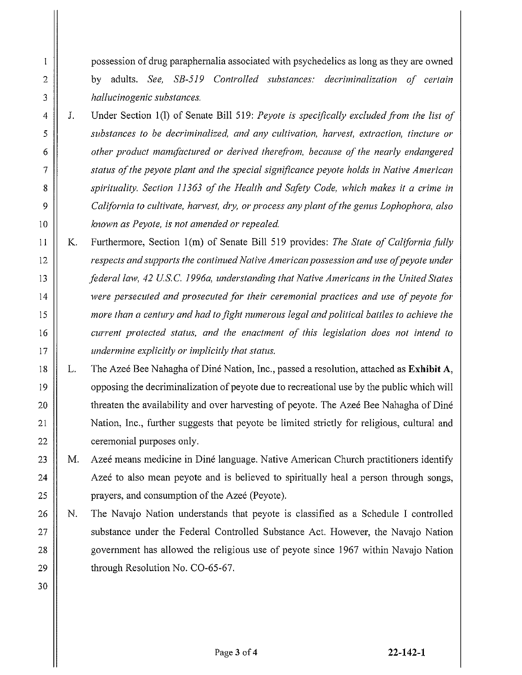possession of drug paraphernalia associated with psychedelics as long as they are owned by adults. See, SB-519 Controlled substances: decriminalization of certain hallucinogenic substances.

- J. Under Section 1(1) of Senate Bill 519: Peyote is specifically excluded from the list of substances to be decriminalized, and any cultivation, harvest, extraction, tincture or other product manufactured or derived therefrom, because of the nearly endangered status of the peyote plant and the special significance peyote holds in Native American spirituality. Section 11363 of the Health and Safety Code, which makes it a crime in California to cultivate, harvest, dry, or process any plant of the genus Lophophora, also known as Peyote, is not amended or repealed.
- Κ. Furthermore, Section 1(m) of Senate Bill 519 provides: The State of California fully respects and supports the continued Native American possession and use of peyote under federal law, 42 U.S.C. 1996a, understanding that Native Americans in the United States were persecuted and prosecuted for their ceremonial practices and use of pevote for more than a century and had to fight numerous legal and political battles to achieve the current protected status, and the enactment of this legislation does not intend to undermine explicitly or implicitly that status.
- The Azeé Bee Nahagha of Diné Nation, Inc., passed a resolution, attached as Exhibit A, L. opposing the decriminalization of peyote due to recreational use by the public which will threaten the availability and over harvesting of peyote. The Azeé Bee Nahagha of Diné Nation, Inc., further suggests that peyote be limited strictly for religious, cultural and ceremonial purposes only.

M. Azeé means medicine in Diné language. Native American Church practitioners identify Azee to also mean peyote and is believed to spiritually heal a person through songs, prayers, and consumption of the Azeé (Peyote).

- N. The Navajo Nation understands that peyote is classified as a Schedule I controlled substance under the Federal Controlled Substance Act. However, the Navajo Nation government has allowed the religious use of peyote since 1967 within Navajo Nation through Resolution No. CO-65-67.
- 28 29 30

 $\mathbf{l}$ 

 $\overline{2}$ 

3

4

5

6

 $\overline{7}$ 

8

9

 $10$ 

 $11$ 

12

13

14

15

16

17

18

19

20

 $21$ 

22

23

24

25

26

27